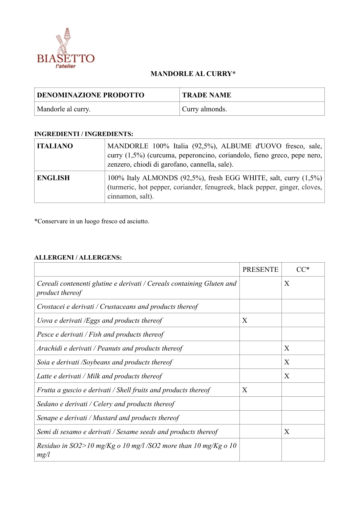

## **MANDORLE AL CURRY\***

| <b>DENOMINAZIONE PRODOTTO</b> | <b>TRADE NAME</b> |
|-------------------------------|-------------------|
| Mandorle al curry.            | Curry almonds.    |

## **INGREDIENTI / INGREDIENTS:**

| <b>ITALIANO</b> | MANDORLE 100% Italia (92,5%), ALBUME d'UOVO fresco, sale,<br>curry (1,5%) (curcuma, peperoncino, coriandolo, fieno greco, pepe nero,<br>zenzero, chiodi di garofano, cannella, sale). |
|-----------------|---------------------------------------------------------------------------------------------------------------------------------------------------------------------------------------|
| <b>ENGLISH</b>  | 100% Italy ALMONDS (92,5%), fresh EGG WHITE, salt, curry (1,5%)<br>(turmeric, hot pepper, coriander, fenugreek, black pepper, ginger, cloves,<br>cinnamon, salt).                     |

\*Conservare in un luogo fresco ed asciutto.

## **ALLERGENI / ALLERGENS:**

|                                                                                          | <b>PRESENTE</b> |   |
|------------------------------------------------------------------------------------------|-----------------|---|
| Cereali contenenti glutine e derivati / Cereals containing Gluten and<br>product thereof |                 | X |
| Crostacei e derivati / Crustaceans and products thereof                                  |                 |   |
| Uova e derivati /Eggs and products thereof                                               | X               |   |
| Pesce e derivati / Fish and products thereof                                             |                 |   |
| Arachidi e derivati / Peanuts and products thereof                                       |                 | X |
| Soia e derivati /Soybeans and products thereof                                           |                 | X |
| Latte e derivati / Milk and products thereof                                             |                 | X |
| Frutta a guscio e derivati / Shell fruits and products thereof                           | X               |   |
| Sedano e derivati / Celery and products thereof                                          |                 |   |
| Senape e derivati / Mustard and products thereof                                         |                 |   |
| Semi di sesamo e derivati / Sesame seeds and products thereof                            |                 | X |
| Residuo in SO2>10 mg/Kg o 10 mg/l /SO2 more than 10 mg/Kg o 10<br>mg/l                   |                 |   |